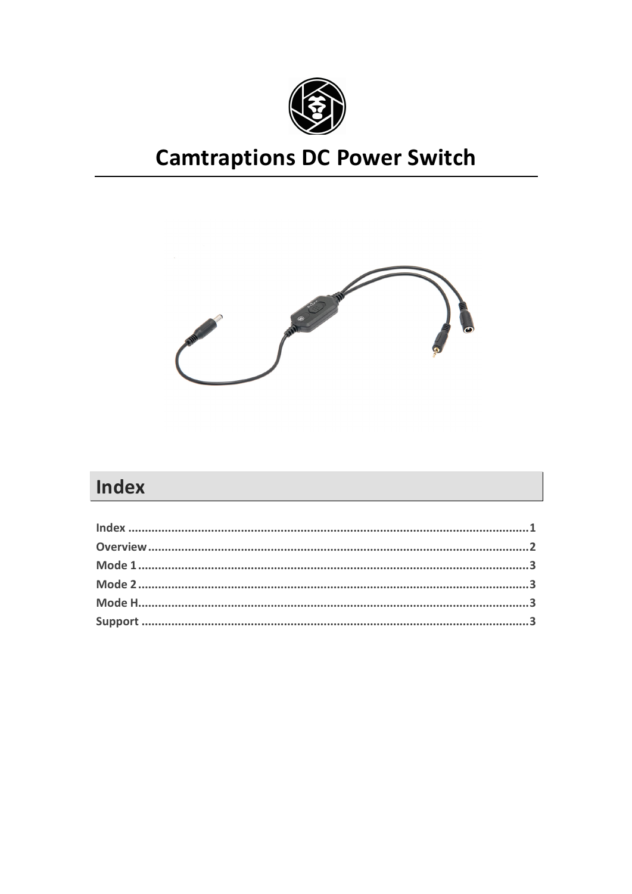

# **Camtraptions DC Power Switch**



## Index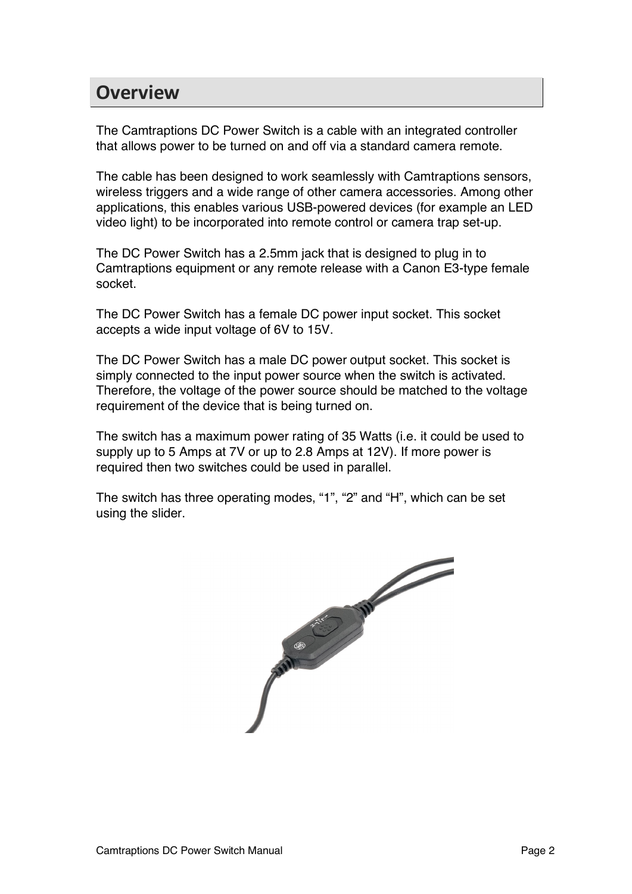#### **Overview**

The Camtraptions DC Power Switch is a cable with an integrated controller that allows power to be turned on and off via a standard camera remote.

The cable has been designed to work seamlessly with Camtraptions sensors, wireless triggers and a wide range of other camera accessories. Among other applications, this enables various USB-powered devices (for example an LED video light) to be incorporated into remote control or camera trap set-up.

The DC Power Switch has a 2.5mm jack that is designed to plug in to Camtraptions equipment or any remote release with a Canon E3-type female socket.

The DC Power Switch has a female DC power input socket. This socket accepts a wide input voltage of 6V to 15V.

The DC Power Switch has a male DC power output socket. This socket is simply connected to the input power source when the switch is activated. Therefore, the voltage of the power source should be matched to the voltage requirement of the device that is being turned on.

The switch has a maximum power rating of 35 Watts (i.e. it could be used to supply up to 5 Amps at 7V or up to 2.8 Amps at 12V). If more power is required then two switches could be used in parallel.

The switch has three operating modes, "1", "2" and "H", which can be set using the slider.